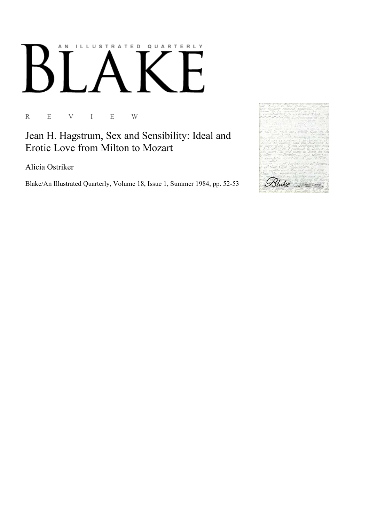## AN ILLUSTRATED QUARTERLY

R E V I E W

Jean H. Hagstrum, Sex and Sensibility: Ideal and Erotic Love from Milton to Mozart

Alicia Ostriker

Blake/An Illustrated Quarterly, Volume 18, Issue 1, Summer 1984, pp. 52-53

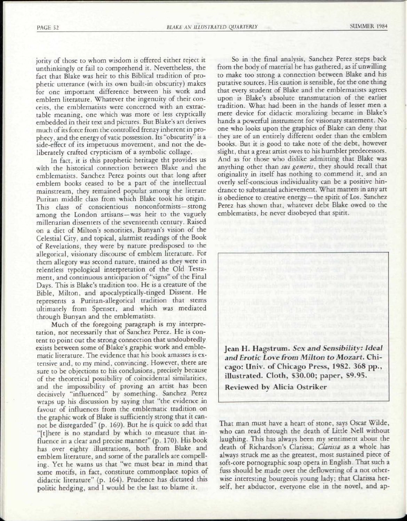jority of those to whom wisdom is offered either reject it unthinkingly or fail to comprehend it. Nevertheless, the fact that Blake was heir to this Biblical tradition of prophetic utterance (with its own built-in obscurity) makes for one important difference between his work and emblem literature. Whatever the ingenuity of their conceits, the emblematists were concerned with an extractable meaning, one which was more or less cryptically embedded in their text and pictures. But Blake's art derives much of its force from the controlled frenzy inherent in prophecy, and the energy of vatic possession. Its "obscurity" is a side-effect of its impetuous movement, and not the deliberately crafted crypticism of a symbolic collage.

In fact, it is this prophetic heritage tht provides us with the historical connection between Blake and the emblematists. Sanchez Perez points out that long after emblem books ceased to be a part of the intellectual mainstream, they remained popular among the literate Puritan middle class from which Blake took his origin. This class of conscientious nonconformists —strong among the London artisans — was heir to the vaguely millenarian dissenters of the seventeenth century. Raised on a diet of Milton's sonorities, Bunyan's vision of the Celestial City, and topical, alarmist readings of the Book of Revelations, they were by nature predisposed to the allegorical, visionary discourse of emblem literature. For them allegory was second nature, trained as they were in relentless typological interpretation of the Old Testament, and continuous anticipation of "signs" of the Final Days. This is Blake's tradition too. He is a creature of the Bible, Milton, and apocalyptically-tinged Dissent. He represents a Puritan-allegorical tradition that stems ultimately from Spenser, and which was mediated through Bunyan and the emblematists.

Much of the foregoing paragraph is my interpretation, not necessarily that of Sanchez Perez. He is content to point out the strong connection that undoubtedly exists between some of Blake's graphic work and emblematic literature. The evidence that his book amasses is extensive and, to my mind, convincing. However, there are sure to be objections to his conclusions, precisely because of the theoretical possibility of coincidental similarities, and the impossibility of proving an artist has been decisively "influenced" by something. Sanchez Perez wraps up his discussion by saying that "the evidence in favour of influences from the emblematic tradition on the graphic work of Blake is sufficiently strong that it cannot be disregarded" (p. 169). But he is quick to add that "[t]here is no standard by which to measure that influence in a clear and precise manner" (p. 170). His book has over eighty illustrations, both from Blake and emblem literature, and some of the parallels are compelling. Yet he warns us that "we must bear in mind that some motifs, in fact, constitute commonplace topics of didactic literature" (p. 164). Prudence has dictated this politic hedging, and I would be the last to blame it.

So in the final analysis, Sanchez Perez steps back from the body of material he has gathered, as if unwilling to make too strong a connection between Blake and his putative sources. His caution is sensible, for the one thing that every student of Blake and the emblematists agrees upon is Blake's absolute transmutation of the earlier tradition. What had been in the hands of lesser men a mere device for didactic moralizing became in Blake's hands a powerful instrument for visionary statement. No one who looks upon the graphics of Blake can deny that they are of an entirely different order than the emblem books. But it is good to take note of the debt, however slight, that a great artist owes to his humbler predecessors. And as for those who dislike admitting that Blake was anything other than *sui generis,* they should recall that originality in itself has nothing to commend it, and an overly self-conscious individuality can be a positive hindrance to substantial achievement. What matters in any art is obedience to creative energy —the spirit of Los. Sanchez Perez has shown that, whatever debt Blake owed to the emblematists, he never disobeyed that spirit.

Jean H. Hagstrum. *Sex and Sensibility: Ideal and Erotic Love from Milton to Mozart.* Chicago: Univ. of Chicago Press, 1982. 368 pp., illustrated. Cloth, \$30.00; paper, S9.95.

Reviewed by Alicia Ostriker

That man must have a heart of stone, says Oscar Wilde, who can read through the death of Little Nell without laughing. This has always been my sentiment about the death of Richardson's Clarissa; *Clarissa* as a whole has always struck me as the greatest, most sustained piece of soft-core pornographic soap opera in English. That such a fuss should be made over the deflowering of a not otherwise interesting bourgeois young lady; that Clarissa herself, her abductor, everyone else in the novel, and ap